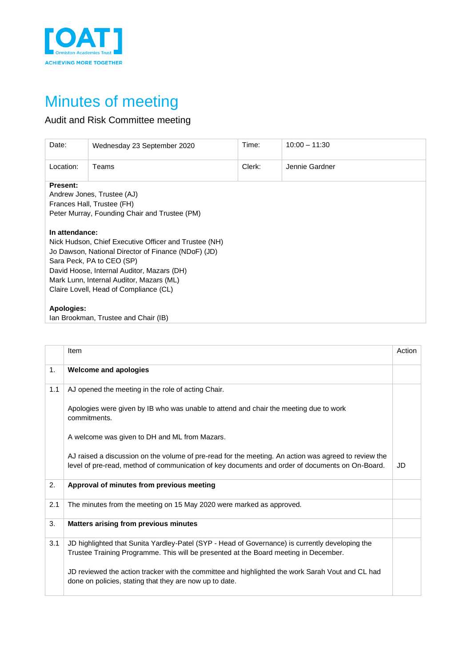

## Minutes of meeting

## Audit and Risk Committee meeting

| Date:                                                 | Wednesday 23 September 2020                         | Time:  | $10:00 - 11:30$ |  |  |  |  |
|-------------------------------------------------------|-----------------------------------------------------|--------|-----------------|--|--|--|--|
| Location:                                             | Teams                                               | Clerk: | Jennie Gardner  |  |  |  |  |
| <b>Present:</b>                                       |                                                     |        |                 |  |  |  |  |
|                                                       | Andrew Jones, Trustee (AJ)                          |        |                 |  |  |  |  |
|                                                       | Frances Hall, Trustee (FH)                          |        |                 |  |  |  |  |
|                                                       | Peter Murray, Founding Chair and Trustee (PM)       |        |                 |  |  |  |  |
|                                                       |                                                     |        |                 |  |  |  |  |
| In attendance:                                        |                                                     |        |                 |  |  |  |  |
| Nick Hudson, Chief Executive Officer and Trustee (NH) |                                                     |        |                 |  |  |  |  |
|                                                       | Jo Dawson, National Director of Finance (NDoF) (JD) |        |                 |  |  |  |  |
| Sara Peck, PA to CEO (SP)                             |                                                     |        |                 |  |  |  |  |
| David Hoose, Internal Auditor, Mazars (DH)            |                                                     |        |                 |  |  |  |  |
| Mark Lunn, Internal Auditor, Mazars (ML)              |                                                     |        |                 |  |  |  |  |
|                                                       | Claire Lovell, Head of Compliance (CL)              |        |                 |  |  |  |  |
|                                                       |                                                     |        |                 |  |  |  |  |
| Apologies:                                            |                                                     |        |                 |  |  |  |  |
|                                                       | Ian Brookman, Trustee and Chair (IB)                |        |                 |  |  |  |  |

|     | Item                                                                                                                                                                                                    | Action |
|-----|---------------------------------------------------------------------------------------------------------------------------------------------------------------------------------------------------------|--------|
| 1.  | <b>Welcome and apologies</b>                                                                                                                                                                            |        |
| 1.1 | AJ opened the meeting in the role of acting Chair.                                                                                                                                                      |        |
|     | Apologies were given by IB who was unable to attend and chair the meeting due to work<br>commitments.                                                                                                   |        |
|     | A welcome was given to DH and ML from Mazars.                                                                                                                                                           |        |
|     | AJ raised a discussion on the volume of pre-read for the meeting. An action was agreed to review the<br>level of pre-read, method of communication of key documents and order of documents on On-Board. | JD     |
| 2.  | Approval of minutes from previous meeting                                                                                                                                                               |        |
| 2.1 | The minutes from the meeting on 15 May 2020 were marked as approved.                                                                                                                                    |        |
| 3.  | Matters arising from previous minutes                                                                                                                                                                   |        |
| 3.1 | JD highlighted that Sunita Yardley-Patel (SYP - Head of Governance) is currently developing the<br>Trustee Training Programme. This will be presented at the Board meeting in December.                 |        |
|     | JD reviewed the action tracker with the committee and highlighted the work Sarah Vout and CL had<br>done on policies, stating that they are now up to date.                                             |        |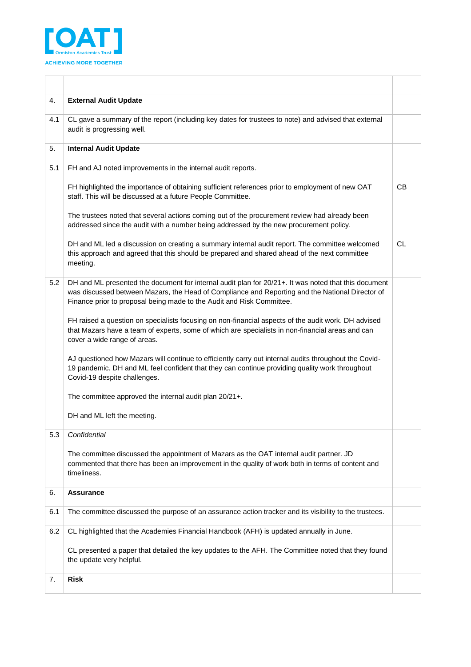

| 4.  | <b>External Audit Update</b>                                                                                                                                                                                                                                                     |    |
|-----|----------------------------------------------------------------------------------------------------------------------------------------------------------------------------------------------------------------------------------------------------------------------------------|----|
| 4.1 | CL gave a summary of the report (including key dates for trustees to note) and advised that external<br>audit is progressing well.                                                                                                                                               |    |
| 5.  | <b>Internal Audit Update</b>                                                                                                                                                                                                                                                     |    |
| 5.1 | FH and AJ noted improvements in the internal audit reports.                                                                                                                                                                                                                      |    |
|     | FH highlighted the importance of obtaining sufficient references prior to employment of new OAT<br>staff. This will be discussed at a future People Committee.                                                                                                                   | CВ |
|     | The trustees noted that several actions coming out of the procurement review had already been<br>addressed since the audit with a number being addressed by the new procurement policy.                                                                                          |    |
|     | DH and ML led a discussion on creating a summary internal audit report. The committee welcomed<br>this approach and agreed that this should be prepared and shared ahead of the next committee<br>meeting.                                                                       | СL |
| 5.2 | DH and ML presented the document for internal audit plan for 20/21+. It was noted that this document<br>was discussed between Mazars, the Head of Compliance and Reporting and the National Director of<br>Finance prior to proposal being made to the Audit and Risk Committee. |    |
|     | FH raised a question on specialists focusing on non-financial aspects of the audit work. DH advised<br>that Mazars have a team of experts, some of which are specialists in non-financial areas and can<br>cover a wide range of areas.                                          |    |
|     | AJ questioned how Mazars will continue to efficiently carry out internal audits throughout the Covid-<br>19 pandemic. DH and ML feel confident that they can continue providing quality work throughout<br>Covid-19 despite challenges.                                          |    |
|     | The committee approved the internal audit plan 20/21+.                                                                                                                                                                                                                           |    |
|     | DH and ML left the meeting.                                                                                                                                                                                                                                                      |    |
| 5.3 | Confidential                                                                                                                                                                                                                                                                     |    |
|     | The committee discussed the appointment of Mazars as the OAT internal audit partner. JD<br>commented that there has been an improvement in the quality of work both in terms of content and<br>timeliness.                                                                       |    |
| 6.  | <b>Assurance</b>                                                                                                                                                                                                                                                                 |    |
| 6.1 | The committee discussed the purpose of an assurance action tracker and its visibility to the trustees.                                                                                                                                                                           |    |
| 6.2 | CL highlighted that the Academies Financial Handbook (AFH) is updated annually in June.                                                                                                                                                                                          |    |
|     | CL presented a paper that detailed the key updates to the AFH. The Committee noted that they found<br>the update very helpful.                                                                                                                                                   |    |
| 7.  | <b>Risk</b>                                                                                                                                                                                                                                                                      |    |